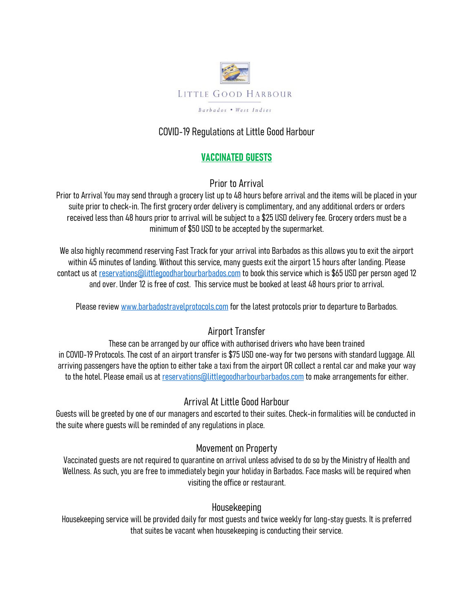

# COVID-19 Regulations at Little Good Harbour

# VACCINATED GUESTS

Prior to Arrival

Prior to Arrival You may send through a grocery list up to 48 hours before arrival and the items will be placed in your suite prior to check-in. The first grocery order delivery is complimentary, and any additional orders or orders received less than 48 hours prior to arrival will be subject to a \$25 USD delivery fee. Grocery orders must be a minimum of \$50 USD to be accepted by the supermarket.

We also highly recommend reserving Fast Track for your arrival into Barbados as this allows you to exit the airport within 45 minutes of landing. Without this service, many guests exit the airport 1.5 hours after landing. Please contact us at reservations@littlegoodharbourbarbados.com to book this service which is \$65 USD per person aged 12 and over. Under 12 is free of cost. This service must be booked at least 48 hours prior to arrival.

Please review www.barbadostravelprotocols.com for the latest protocols prior to departure to Barbados.

# Airport Transfer

These can be arranged by our office with authorised drivers who have been trained in COVID-19 Protocols. The cost of an airport transfer is \$75 USD one-way for two persons with standard luggage. All arriving passengers have the option to either take a taxi from the airport OR collect a rental car and make your way to the hotel. Please email us at reservations@littlegoodharbourbarbados.com to make arrangements for either.

### Arrival At Little Good Harbour

Guests will be greeted by one of our managers and escorted to their suites. Check-in formalities will be conducted in the suite where guests will be reminded of any regulations in place.

### Movement on Property

Vaccinated guests are not required to quarantine on arrival unless advised to do so by the Ministry of Health and Wellness. As such, you are free to immediately begin your holiday in Barbados. Face masks will be required when visiting the office or restaurant.

#### Housekeeping

Housekeeping service will be provided daily for most guests and twice weekly for long-stay guests. It is preferred that suites be vacant when housekeeping is conducting their service.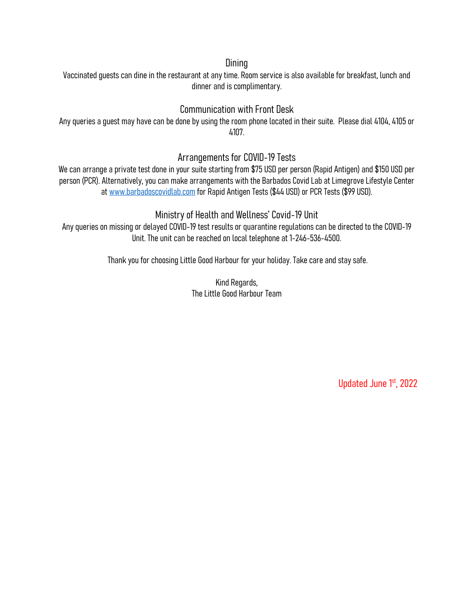#### **Dining**

Vaccinated guests can dine in the restaurant at any time. Room service is also available for breakfast, lunch and dinner and is complimentary.

### Communication with Front Desk

Any queries a guest may have can be done by using the room phone located in their suite. Please dial 4104, 4105 or 4107.

#### Arrangements for COVID-19 Tests

We can arrange a private test done in your suite starting from \$75 USD per person (Rapid Antigen) and \$150 USD per person (PCR). Alternatively, you can make arrangements with the Barbados Covid Lab at Limegrove Lifestyle Center at www.barbadoscovidlab.com for Rapid Antigen Tests (\$44 USD) or PCR Tests (\$99 USD).

#### Ministry of Health and Wellness' Covid-19 Unit

Any queries on missing or delayed COVID-19 test results or quarantine regulations can be directed to the COVID-19 Unit. The unit can be reached on local telephone at 1-246-536-4500.

Thank you for choosing Little Good Harbour for your holiday. Take care and stay safe.

Kind Regards, The Little Good Harbour Team

Updated June 1st, 2022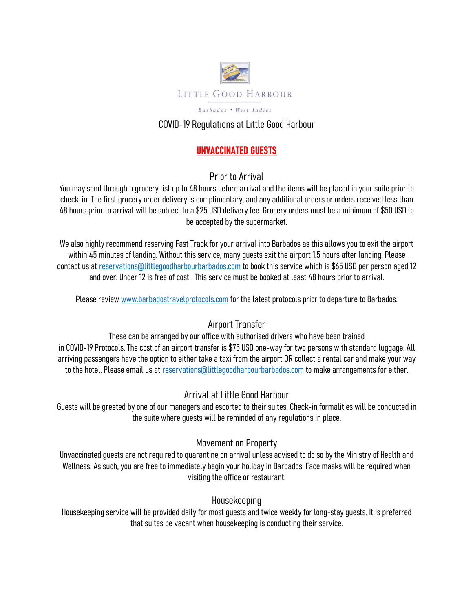

### COVID-19 Regulations at Little Good Harbour

### UNVACCINATED GUESTS

Prior to Arrival

You may send through a grocery list up to 48 hours before arrival and the items will be placed in your suite prior to check-in. The first grocery order delivery is complimentary, and any additional orders or orders received less than 48 hours prior to arrival will be subject to a \$25 USD delivery fee. Grocery orders must be a minimum of \$50 USD to be accepted by the supermarket.

We also highly recommend reserving Fast Track for your arrival into Barbados as this allows you to exit the airport within 45 minutes of landing. Without this service, many guests exit the airport 1.5 hours after landing. Please contact us at reservations@littlegoodharbourbarbados.com to book this service which is \$65 USD per person aged 12 and over. Under 12 is free of cost. This service must be booked at least 48 hours prior to arrival.

Please review www.barbadostravelprotocols.com for the latest protocols prior to departure to Barbados.

# Airport Transfer

These can be arranged by our office with authorised drivers who have been trained in COVID-19 Protocols. The cost of an airport transfer is \$75 USD one-way for two persons with standard luggage. All arriving passengers have the option to either take a taxi from the airport OR collect a rental car and make your way to the hotel. Please email us at reservations@littlegoodharbourbarbados.com to make arrangements for either.

### Arrival at Little Good Harbour

Guests will be greeted by one of our managers and escorted to their suites. Check-in formalities will be conducted in the suite where guests will be reminded of any regulations in place.

#### Movement on Property

Unvaccinated guests are not required to quarantine on arrival unless advised to do so by the Ministry of Health and Wellness. As such, you are free to immediately begin your holiday in Barbados. Face masks will be required when visiting the office or restaurant.

### Housekeeping

Housekeeping service will be provided daily for most guests and twice weekly for long-stay guests. It is preferred that suites be vacant when housekeeping is conducting their service.